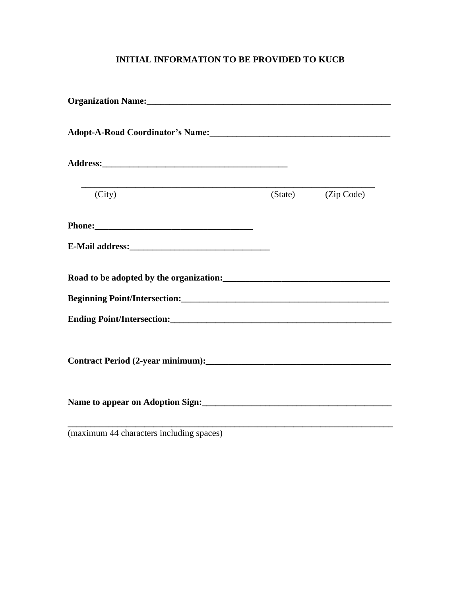#### **INITIAL INFORMATION TO BE PROVIDED TO KUCB**

| Organization Name:<br><u>Letter and the contract of the contract of the contract of the contract of the contract of the contract of the contract of the contract of the contract of the contract of the contract of the contract o</u> |                                                                                                                  |
|----------------------------------------------------------------------------------------------------------------------------------------------------------------------------------------------------------------------------------------|------------------------------------------------------------------------------------------------------------------|
| Adopt-A-Road Coordinator's Name:<br><u>Letter and the contract of the contract of the contract of the contract of the contract of the contract of the contract of the contract of the contract of the contract of the contract of </u> |                                                                                                                  |
|                                                                                                                                                                                                                                        |                                                                                                                  |
| (City)                                                                                                                                                                                                                                 | (State) (Zip Code)                                                                                               |
|                                                                                                                                                                                                                                        |                                                                                                                  |
|                                                                                                                                                                                                                                        |                                                                                                                  |
| Road to be adopted by the organization:<br><u>Letting and the set of the set of the set of the set of the set of the set of the set of the set of the set of the set of the set of the set of the set of the set of the set of the</u> |                                                                                                                  |
|                                                                                                                                                                                                                                        |                                                                                                                  |
|                                                                                                                                                                                                                                        |                                                                                                                  |
|                                                                                                                                                                                                                                        |                                                                                                                  |
| Name to appear on Adoption Sign:<br><u>Letter and the contract of the set of the set of the set of the set of the set of the set of the set of the set of the set of the set of the set of the set of the set of the set of the se</u> |                                                                                                                  |
| $\mathbf{A} \mathbf{A} \mathbf{A}$ and $\mathbf{A} \mathbf{A}$ and $\mathbf{A} \mathbf{A}$ and $\mathbf{A} \mathbf{A}$ and $\mathbf{A} \mathbf{A}$ and $\mathbf{A} \mathbf{A}$                                                         | and the control of the control of the control of the control of the control of the control of the control of the |

(maximum 44 characters including spaces)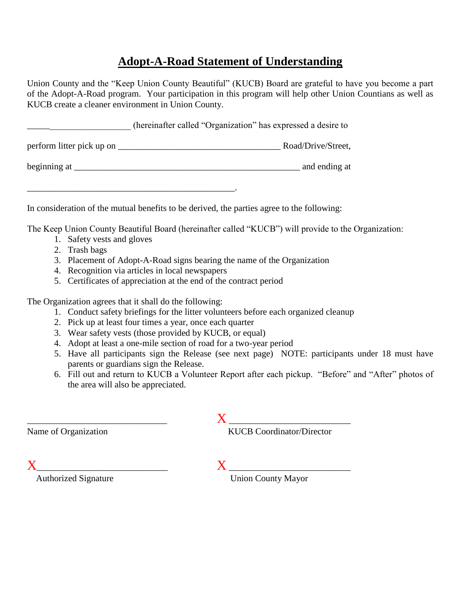#### **Adopt-A-Road Statement of Understanding**

Union County and the "Keep Union County Beautiful" (KUCB) Board are grateful to have you become a part of the Adopt-A-Road program. Your participation in this program will help other Union Countians as well as KUCB create a cleaner environment in Union County.

\_\_\_\_\_\_\_\_\_\_\_\_\_\_\_\_\_\_\_\_\_\_\_ (hereinafter called "Organization" has expressed a desire to

perform litter pick up on \_\_\_\_\_\_\_\_\_\_\_\_\_\_\_\_\_\_\_\_\_\_\_\_\_\_\_\_\_\_\_\_\_\_\_\_ Road/Drive/Street,

beginning at \_\_\_\_\_\_\_\_\_\_\_\_\_\_\_\_\_\_\_\_\_\_\_\_\_\_\_\_\_\_\_\_\_\_\_\_\_\_\_\_\_\_\_\_\_\_\_\_\_\_ and ending at

In consideration of the mutual benefits to be derived, the parties agree to the following:

The Keep Union County Beautiful Board (hereinafter called "KUCB") will provide to the Organization:

- 1. Safety vests and gloves
- 2. Trash bags
- 3. Placement of Adopt-A-Road signs bearing the name of the Organization
- 4. Recognition via articles in local newspapers

\_\_\_\_\_\_\_\_\_\_\_\_\_\_\_\_\_\_\_\_\_\_\_\_\_\_\_\_\_\_\_\_\_\_\_\_\_\_\_\_\_\_\_\_\_\_.

5. Certificates of appreciation at the end of the contract period

The Organization agrees that it shall do the following:

- 1. Conduct safety briefings for the litter volunteers before each organized cleanup
- 2. Pick up at least four times a year, once each quarter
- 3. Wear safety vests (those provided by KUCB, or equal)
- 4. Adopt at least a one-mile section of road for a two-year period
- 5. Have all participants sign the Release (see next page) NOTE: participants under 18 must have parents or guardians sign the Release.
- 6. Fill out and return to KUCB a Volunteer Report after each pickup. "Before" and "After" photos of the area will also be appreciated.

\_\_\_\_\_\_\_\_\_\_\_\_\_\_\_\_\_\_\_\_\_\_\_\_\_\_\_\_\_\_\_ X \_\_\_\_\_\_\_\_\_\_\_\_\_\_\_\_\_\_\_\_\_\_\_\_\_\_\_ Name of Organization KUCB Coordinator/Director

 $X \perp$ 

Authorized Signature Union County Mayor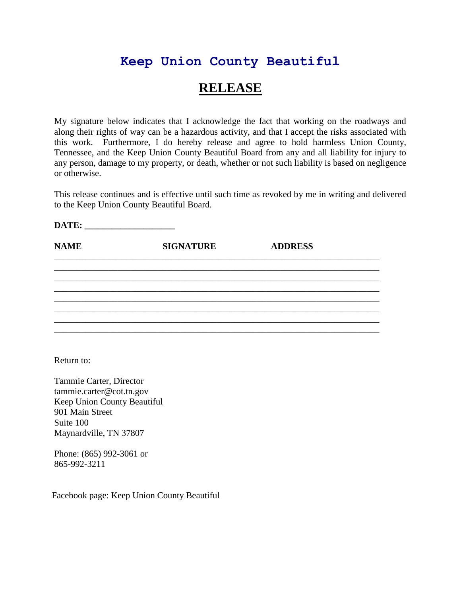### **Keep Union County Beautiful**

## **RELEASE**

My signature below indicates that I acknowledge the fact that working on the roadways and along their rights of way can be a hazardous activity, and that I accept the risks associated with this work. Furthermore, I do hereby release and agree to hold harmless Union County, Tennessee, and the Keep Union County Beautiful Board from any and all liability for injury to any person, damage to my property, or death, whether or not such liability is based on negligence or otherwise.

This release continues and is effective until such time as revoked by me in writing and delivered to the Keep Union County Beautiful Board.

| DATE:       |                  |                |  |
|-------------|------------------|----------------|--|
| <b>NAME</b> | <b>SIGNATURE</b> | <b>ADDRESS</b> |  |
|             |                  |                |  |
|             |                  |                |  |
|             |                  |                |  |
|             |                  |                |  |
|             |                  |                |  |

Return to:

Tammie Carter, Director tammie.carter@cot.tn.gov Keep Union County Beautiful 901 Main Street Suite 100 Maynardville, TN 37807

Phone: (865) 992-3061 or 865-992-3211

Facebook page: Keep Union County Beautiful